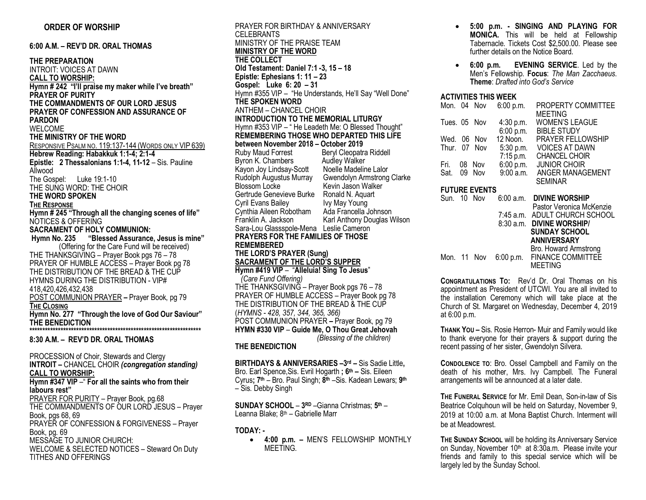**6:00 A.M. – REV'D DR. ORAL THOMAS** 

**THE PREPARATION** INTROIT: VOICES AT DAWN **CALL TO WORSHIP: Hymn # 242 "I'll praise my maker while I've breath" PRAYER OF PURITY THE COMMANDMENTS OF OUR LORD JESUS PRAYER OF CONFESSION AND ASSURANCE OF PARDON** WELCOME **THE MINISTRY OF THE WORD** RESPONSIVE PSALM NO. 119:137-144 (WORDS ONLY VIP 639) **Hebrew Reading: Habakkuk 1:1-4; 2:1-4 Epistle: 2 Thessalonians 1:1-4, 11-12** – Sis. Pauline Allwood The Gospel: Luke 19:1-10 THE SUNG WORD: THE CHOIR **THE WORD SPOKEN THE RESPONSE Hymn # 245 "Through all the changing scenes of life"** NOTICES & OFFERING **SACRAMENT OF HOLY COMMUNION: Hymn No. 235 "Blessed Assurance, Jesus is mine"** (Offering for the Care Fund will be received) THE THANKSGIVING – Prayer Book pgs 76 – 78 PRAYER OF HUMBLE ACCESS – Prayer Book pg 78 THE DISTRIBUTION OF THE BREAD & THE CUP HYMNS DURING THE DISTRIBUTION - VIP# 418,420,426,432,438 POST COMMUNION PRAYER *–* Prayer Book, pg 79 **THE CLOSING Hymn No. 277 "Through the love of God Our Saviour" THE BENEDICTION \*\*\*\*\*\*\*\*\*\*\*\*\*\*\*\*\*\*\*\*\*\*\*\*\*\*\*\*\*\*\*\*\*\*\*\*\*\*\*\*\*\*\*\*\*\*\*\*\*\*\*\*\*\*\*\*\*\*\*\*\*\*\*\*\*\* 8:30 A.M. – REV'D DR. ORAL THOMAS**

PROCESSION of Choir, Stewards and Clergy **INTROIT –** CHANCEL CHOIR *(congregation standing)* **CALL TO WORSHIP: Hymn #347 VIP** –" **For all the saints who from their labours rest"** PRAYER FOR PURITY - Prayer Book, pg.68 THE COMMANDMENTS OF OUR LORD JESUS – Prayer Book, pgs 68, 69 PRAYER OF CONFESSION & FORGIVENESS – Prayer Book, pg. 69 MESSAGE TO JUNIOR CHURCH: WELCOME & SELECTED NOTICES – Steward On Duty TITHES AND OFFERINGS

PRAYER FOR BIRTHDAY & ANNIVERSARY CELEBRANTS MINISTRY OF THE PRAISE TEAM **MINISTRY OF THE WORD THE COLLECT Old Testament: Daniel 7:1 -3, 15 – 18 Epistle: Ephesians 1: 11 – 23 Gospel: Luke 6: 20 – 31**  Hymn #355 VIP – "He Understands, He'll Say "Well Done" **THE SPOKEN WORD** ANTHEM – CHANCEL CHOIR **INTRODUCTION TO THE MEMORIAL LITURGY** Hymn #353 VIP – " He Leadeth Me: O Blessed Thought" **REMEMBERING THOSE WHO DEPARTED THIS LIFE between November 2018 – October 2019** Beryl Cleopatra Riddell<br>Audley Walker Byron K. Chambers Audley Walker<br>Kavon Jov Lindsav-Scott Noelle Madeline Lalor Kayon Joy Lindsay-Scott<br>Rudolph Augustus Murray Rudolph Augustus Murray Gwendolyn Armstrong Clarke Kevin Jason Walker Gertrude Genevieve Burke Ronald N. Aquart<br>Cyril Evans Bailey May Young Cyril Evans Bailey **IVy May Young**<br>Cynthia Aileen Robotham Ada Francella Johnson Cynthia Aileen Robotham<br>Franklin A. Jackson Karl Anthony Douglas Wilson Sara-Lou Glassspole-Mena Leslie Cameron **PRAYERS FOR THE FAMILIES OF THOSE REMEMBERED THE LORD'S PRAYER (Sung) SACRAMENT OF THE LORD'S SUPPER Hymn #419 VIP** – "**Alleluia! Sing To Jesus**"  *(Care Fund Offering)* THE THANKSGIVING – Prayer Book pgs 76 – 78 PRAYER OF HUMBLE ACCESS – Prayer Book pg 78 THE DISTRIBUTION OF THE BREAD & THE CUP (*HYMNS - 428, 357, 344, 365, 366)* POST COMMUNION PRAYER – Prayer Book, pg 79 **HYMN #330 VIP** – **Guide Me, O Thou Great Jehovah**  *(Blessing of the children)* **THE BENEDICTION**

**BIRTHDAYS & ANNIVERSARIES –3rd –** Sis Sadie Little**,**  Bro. Earl Spence,Sis. Evril Hogarth **; 6th –** Sis. Eileen Cyrus**; 7th** – Bro. Paul Singh; **8th** –Sis. Kadean Lewars; **9th** – Sis. Debby Singh

**SUNDAY SCHOOL** – **3RD** –Gianna Christmas; **5th** – Leanna Blake; 8th – Gabrielle Marr

## **TODAY: -**

• **4:00 p.m. –** MEN'S FELLOWSHIP MONTHLY MEETING.

- **5:00 p.m. - SINGING AND PLAYING FOR MONICA.** This will be held at Fellowship Tabernacle. Tickets Cost \$2,500.00. Please see further details on the Notice Board.
- **6:00 p.m. EVENING SERVICE**. Led by the Men's Fellowship. **Focus**: *The Man Zacchaeus*. **Theme**: *Drafted into God's Service*

# **ACTIVITIES THIS WEEK**

|                      |     | 6:00 p.m.                                                                                            | PROPERTY COMMITTEE<br><b>MEETING</b>                                                                           |  |  |  |
|----------------------|-----|------------------------------------------------------------------------------------------------------|----------------------------------------------------------------------------------------------------------------|--|--|--|
|                      |     | 4:30 p.m.                                                                                            | <b>WOMEN'S LEAGUE</b><br><b>BIBLE STUDY</b>                                                                    |  |  |  |
|                      | Nov | 12 Noon.                                                                                             | <b>PRAYER FELLOWSHIP</b><br><b>VOICES AT DAWN</b>                                                              |  |  |  |
|                      |     | $7:15$ p.m.                                                                                          | <b>CHANCEL CHOIR</b><br><b>JUNIOR CHOIR</b>                                                                    |  |  |  |
|                      | Nov | 9:00a.m.                                                                                             | ANGER MANAGEMENT<br><b>SEMINAR</b>                                                                             |  |  |  |
| <b>FUTURE EVENTS</b> |     |                                                                                                      |                                                                                                                |  |  |  |
|                      |     | $6:00$ a.m.                                                                                          | <b>DIVINE WORSHIP</b>                                                                                          |  |  |  |
|                      |     |                                                                                                      | Pastor Veronica McKenzie<br>7:45 a.m. ADULT CHURCH SCHOOL<br>8:30 a.m. DIVINE WORSHIP/<br><b>SUNDAY SCHOOL</b> |  |  |  |
|                      |     |                                                                                                      | ANNIVERSARY<br>Bro. Howard Armstrong<br>6:00 p.m. FINANCE COMMITTEE<br><b>MEETING</b>                          |  |  |  |
|                      |     | Mon. 04 Nov<br>Tues. 05 Nov<br>Wed. 06<br>Thur. 07 Nov<br>08 Nov<br>09<br>Sun. 10 Nov<br>Mon. 11 Nov | 6:00 p.m.<br>5:30 p.m.<br>6:00 p.m.                                                                            |  |  |  |

**CONGRATULATIONS TO:** Rev'd Dr. Oral Thomas on his appointment as President of UTCWI. You are all invited to the installation Ceremony which will take place at the Church of St. Margaret on Wednesday, December 4, 2019 at 6:00 p.m.

**THANK YOU –** Sis. Rosie Herron- Muir and Family would like to thank everyone for their prayers & support during the recent passing of her sister, Gwendolyn Silvera.

**CONDOLENCE TO**: Bro. Ossel Campbell and Family on the death of his mother, Mrs. Ivy Campbell. The Funeral arrangements will be announced at a later date.

**THE FUNERAL SERVICE** for Mr. Emil Dean, Son-in-law of Sis Beatrice Colquhoun will be held on Saturday, November 9, 2019 at 10:00 a.m. at Mona Baptist Church. Interment will be at Meadowrest.

**THE SUNDAY SCHOOL** will be holding its Anniversary Service on Sunday, November 10<sup>th</sup> at 8:30a.m. Please invite your friends and family to this special service which will be largely led by the Sunday School.